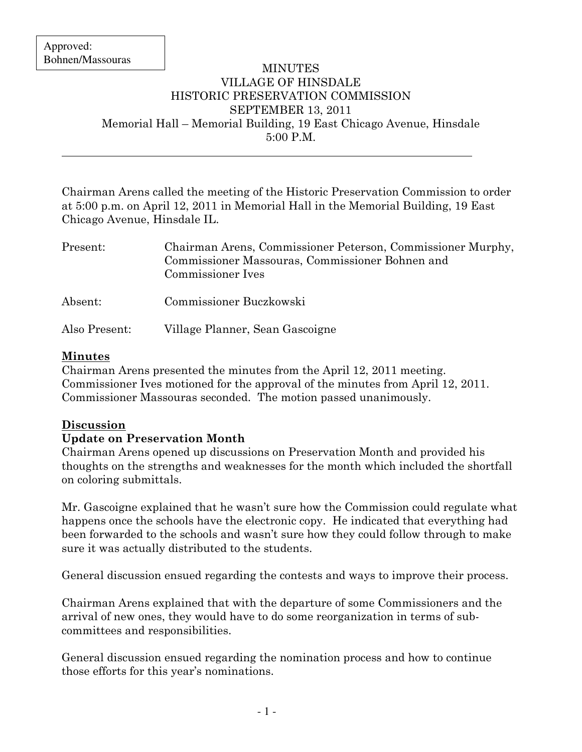$\overline{a}$ 

#### MINUTES VILLAGE OF HINSDALE HISTORIC PRESERVATION COMMISSION SEPTEMBER 13, 2011 Memorial Hall – Memorial Building, 19 East Chicago Avenue, Hinsdale 5:00 P.M.

Chairman Arens called the meeting of the Historic Preservation Commission to order at 5:00 p.m. on April 12, 2011 in Memorial Hall in the Memorial Building, 19 East Chicago Avenue, Hinsdale IL.

| Present:      | Chairman Arens, Commissioner Peterson, Commissioner Murphy,<br>Commissioner Massouras, Commissioner Bohnen and<br>Commissioner Ives |
|---------------|-------------------------------------------------------------------------------------------------------------------------------------|
| Absent:       | Commissioner Buczkowski                                                                                                             |
| Also Present: | Village Planner, Sean Gascoigne                                                                                                     |

## Minutes

Chairman Arens presented the minutes from the April 12, 2011 meeting. Commissioner Ives motioned for the approval of the minutes from April 12, 2011. Commissioner Massouras seconded. The motion passed unanimously.

# Discussion

### Update on Preservation Month

Chairman Arens opened up discussions on Preservation Month and provided his thoughts on the strengths and weaknesses for the month which included the shortfall on coloring submittals.

Mr. Gascoigne explained that he wasn't sure how the Commission could regulate what happens once the schools have the electronic copy. He indicated that everything had been forwarded to the schools and wasn't sure how they could follow through to make sure it was actually distributed to the students.

General discussion ensued regarding the contests and ways to improve their process.

Chairman Arens explained that with the departure of some Commissioners and the arrival of new ones, they would have to do some reorganization in terms of subcommittees and responsibilities.

General discussion ensued regarding the nomination process and how to continue those efforts for this year's nominations.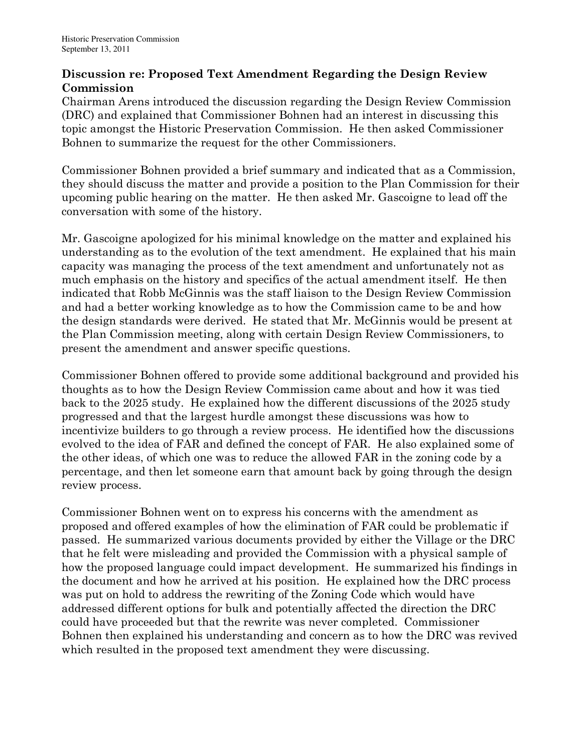### Discussion re: Proposed Text Amendment Regarding the Design Review **Commission**

Chairman Arens introduced the discussion regarding the Design Review Commission (DRC) and explained that Commissioner Bohnen had an interest in discussing this topic amongst the Historic Preservation Commission. He then asked Commissioner Bohnen to summarize the request for the other Commissioners.

Commissioner Bohnen provided a brief summary and indicated that as a Commission, they should discuss the matter and provide a position to the Plan Commission for their upcoming public hearing on the matter. He then asked Mr. Gascoigne to lead off the conversation with some of the history.

Mr. Gascoigne apologized for his minimal knowledge on the matter and explained his understanding as to the evolution of the text amendment. He explained that his main capacity was managing the process of the text amendment and unfortunately not as much emphasis on the history and specifics of the actual amendment itself. He then indicated that Robb McGinnis was the staff liaison to the Design Review Commission and had a better working knowledge as to how the Commission came to be and how the design standards were derived. He stated that Mr. McGinnis would be present at the Plan Commission meeting, along with certain Design Review Commissioners, to present the amendment and answer specific questions.

Commissioner Bohnen offered to provide some additional background and provided his thoughts as to how the Design Review Commission came about and how it was tied back to the 2025 study. He explained how the different discussions of the 2025 study progressed and that the largest hurdle amongst these discussions was how to incentivize builders to go through a review process. He identified how the discussions evolved to the idea of FAR and defined the concept of FAR. He also explained some of the other ideas, of which one was to reduce the allowed FAR in the zoning code by a percentage, and then let someone earn that amount back by going through the design review process.

Commissioner Bohnen went on to express his concerns with the amendment as proposed and offered examples of how the elimination of FAR could be problematic if passed. He summarized various documents provided by either the Village or the DRC that he felt were misleading and provided the Commission with a physical sample of how the proposed language could impact development. He summarized his findings in the document and how he arrived at his position. He explained how the DRC process was put on hold to address the rewriting of the Zoning Code which would have addressed different options for bulk and potentially affected the direction the DRC could have proceeded but that the rewrite was never completed. Commissioner Bohnen then explained his understanding and concern as to how the DRC was revived which resulted in the proposed text amendment they were discussing.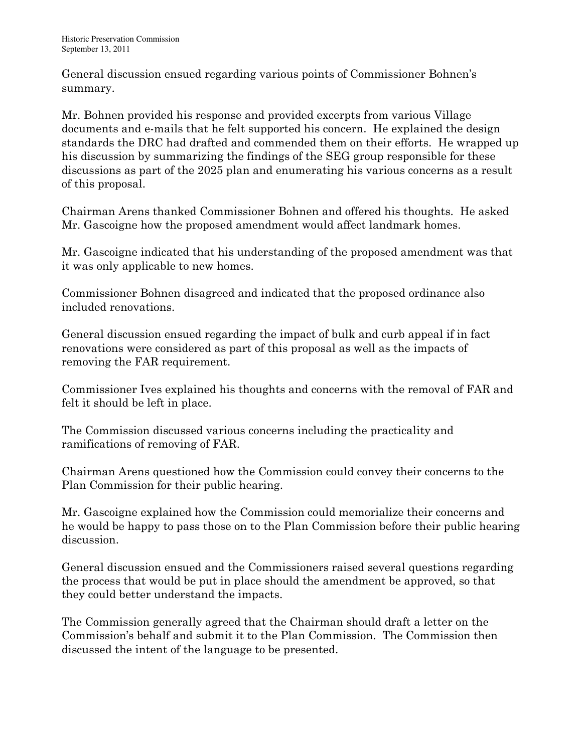General discussion ensued regarding various points of Commissioner Bohnen's summary.

Mr. Bohnen provided his response and provided excerpts from various Village documents and e-mails that he felt supported his concern. He explained the design standards the DRC had drafted and commended them on their efforts. He wrapped up his discussion by summarizing the findings of the SEG group responsible for these discussions as part of the 2025 plan and enumerating his various concerns as a result of this proposal.

Chairman Arens thanked Commissioner Bohnen and offered his thoughts. He asked Mr. Gascoigne how the proposed amendment would affect landmark homes.

Mr. Gascoigne indicated that his understanding of the proposed amendment was that it was only applicable to new homes.

Commissioner Bohnen disagreed and indicated that the proposed ordinance also included renovations.

General discussion ensued regarding the impact of bulk and curb appeal if in fact renovations were considered as part of this proposal as well as the impacts of removing the FAR requirement.

Commissioner Ives explained his thoughts and concerns with the removal of FAR and felt it should be left in place.

The Commission discussed various concerns including the practicality and ramifications of removing of FAR.

Chairman Arens questioned how the Commission could convey their concerns to the Plan Commission for their public hearing.

Mr. Gascoigne explained how the Commission could memorialize their concerns and he would be happy to pass those on to the Plan Commission before their public hearing discussion.

General discussion ensued and the Commissioners raised several questions regarding the process that would be put in place should the amendment be approved, so that they could better understand the impacts.

The Commission generally agreed that the Chairman should draft a letter on the Commission's behalf and submit it to the Plan Commission. The Commission then discussed the intent of the language to be presented.